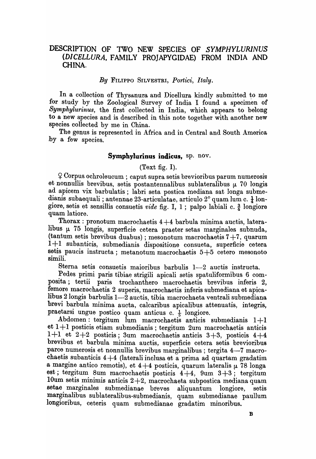# DESCRIPTION OF TWO NEW SPECIES OF SYMPHYLURINUS *(DICELLURA,* FAMILY PROJAPYGIDAE) FROM INDIA AND CHINA.

### *By* FILIPPO SILVESTRI, *Portici, Italy.*

In a collection of Thysanura and Dicellura kindly submitted to me for study by the Zoological Survey of India I found a specimen of *Symphylurinus,* the first collected in India, which appears to belong to a new species and is described in this note together with another new species collected by me in China.

The genus is represented in Africa and in Central and South America by a few species.

#### Symphylurinus indicus, sp. nov.

(Text fig. I).

 $9$  Corpus ochroleucum ; caput supra setis brevioribus parum numerosis et nonnullis brevibus, setis postantennalibus sublateralibus  $\mu$  70 longis ad apicem vix barbulatis; labri seta postica mediana sat longa submedianis subaequali ; antennae 23-articulatae, articulo 2° quam lum c.  $\frac{1}{4}$  longiore, setis et sensillis consuetis *vide* fig. I, 1; palpo labiali c.  $\frac{3}{4}$  longiore quam latiore.

Thorax: pronotum macrochaetis  $4+4$  barbula minima auctis, lateralibus  $\mu$  75 longis, superficie cetera praeter setas marginales subnuda, (tantum setis brevibus duabus); mesonotum macrochaetis  $7+7$ , quarum 1+1 subanticis, submedianis dispositione consueta, superficie cetera setis paucis instructa; metanotum macrochaetis  $5+5$  cetero mesonoto simili.

Sterna setis consuetis maioribus barbulis 1-2 auctis instructa.

Pedes primi paris tibiae strigili apicali setis spatuliformibus 6 composita; tertii paris trochanthero macrochaetis brevibus inferis 2, femore macrochaetis 2 superis, macrochaetis inferis submediana et apicalibus 2 longis barbulis  $1-\overline{2}$  auctis, tibia macrochaeta ventrali submediana brevi barbula minima ancta, calcaribus apicalibus attenuatis, integris, praetarsi ungue postico quam anticus c.  $\frac{1}{5}$  longiore.

Abdomen: tergitum lum macrochaetis anticis submedianis  $1+1$  $et 1+1$  posticis etiam submedianis; tergitum  $2$ um macrochaetis anticis 1+1 et  $2+2$  posticis; 3um macrochaetis anticis  $3+3$ , posticis  $4+4$ brevibus et barbula minima auctis, superficie cetera setis brevioribus parce numerosis et nonnullis brevibus marginalibus ; tergita 4-7 macrochaetis subanticis 4+4 (laterali inclusa at a prima ad quartam gradatim a margine antico remotis), et  $4+4$  posticis, quarum lateralis  $\mu$  78 longa est; tergitum 8um macrochaetis posticis  $4+4$ , 9um  $3+3$ ; tergitum 10um setis minimis anticis  $2+2$ , macrochaeta subpostica mediana quam setae marginales submedianae breves aliquantum longiore, setis marginalibus sublateralibus-submedianis, quam submedianae paullum longioribus, ceteris quam submedianae gradatim minoribus.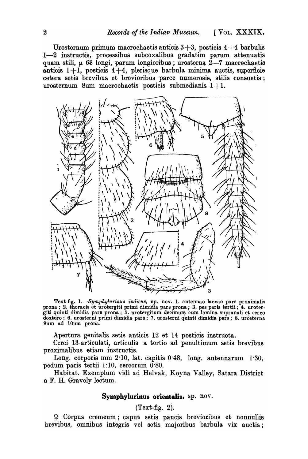Urosternum primum macrochaetis anticis  $3+3$ , posticis  $4+4$  barbulis  $1-2$  instructis, processibus subcoxalibus gradatim parum attenuatis quam stili,  $\mu$  68 longi, parum longioribus ; urosterna  $2-7$  macrochaetis anticis  $1+1$ , posticis  $4+4$ , plerisque barbula minima auctis, superficie cetera setis brevibus et brevioribus parce numerosis, stilis consuetis; urosternum 8um macrochaetis posticis submedianis  $1+1$ .



Text-fig. 1.-*Symphylurinus indicus*, sp. nov. 1. antennae laevae pars proximalis  $p_{\text{max}}$  prona; 2. thoracis et urotergiti primi dimidia pars prona; 3. pes paris tertii; 4. urotetgiti quinti dimidia pars prona;  $5.$  urotergitum decimum cum lamina supranali et cerco dextero; 6. urosterni primi dimidia pars; 7. urosterni quinti dimidia pars; 8. urosterna Sum ad lOum prona.

Apertura genitalis setis anticis 12 et 14 posticis instructa.

Cerci 13-articulati, articulis a tertio ad penultimum setis brevibus proximalibus etiam instructis.

Long. corporis mm 2·10, lat. capitis 0·48, long. antennarum 1·30, pedum paris tertii 1~10, cercorum O·So.

Habitat. Exemplum vidi ad Helvak, Koyna Valley, Satara District a F. H. Gravely lectum.

### **Symphylurinus orientalis,** sp. nov.

## (Text-fig. 2).

<sup>~</sup>Corpus cremeum; caput setis paucis brevio:ribus et nonnullis brevibus, omnibus integris vel setis majoribus barbula vix auctis;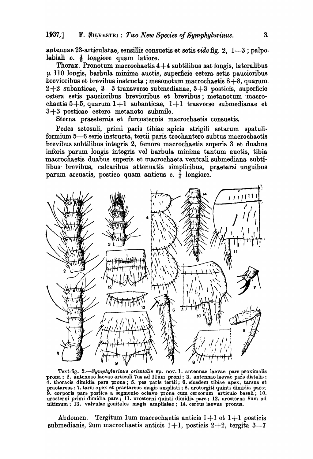antennae 23-articulatae, sensillis consuetis et setis vide fig.  $2, 1-3$ ; palpolabiali  $c. \frac{1}{3}$  longiore quam latiore.

Thorax. Pronotum macrochaetis  $4+4$  subtilibus sat longis, lateralibus  $\mu$  110 longis, barbula minima auctis, superficie cetera setis paucioribus brevioribus et brevibus instructa; mesonotum macrochaetis  $8+8$ , quarum  $2+2$  subanticae, 3-3 transverse submedianae, 3+3 posticis, superficie cetera setis paucioribus brevioribus et brevibus; metanotum macrochaetis  $5+5$ , quarum  $1+1$  subanticae,  $1+1$  trasverse submedianae et 3+3 posticae cetero metanoto submile.

Sterna praesternis et furcosternis macrochaetis consuetis.

Pedes setosuli, primi paris tibiae apicis strigili setarum spatuliformium 5-6 serie instructa, tertii paris trochantero subtus macrochaetis brevibus subtilibus integris 2, femore macrochaetis superis 3 et duabus inferis parum longis integris vel barbula minima tantum auctis, tibia macrochaetis duabus superis et macrochaeta ventrali submediana subtilibus brevibus, calcaribus attenuatis simplicibus, praetarsi unguibus parum arcuatis, postico quam anticus c.  $\frac{1}{4}$  longiore.



Text-fig. 2.-Symphylurinus orientalis sp. nov. 1. antennae laevae pars proximalis prona; 2. antennae laevae articuli 7us ad 11um proni; 3. antennae laevae pars distalis; 4. thoracis dimidia pars prona; 5. pes paris tertii; 6. eiusdem tibiae apex, tarsus et praetarsus; 7. tarsi apex et praetarsus magis ampliati; 8. urotergiti quinti dimidia pars; 9. corporis pars postica a segmento octavo prona cum cercorum articulo basali; 10. urosterni primi dimidia pars; 11. urosterni quinti dimidia pars; 12. urosterna 8um ad<br>ultimum; 13. valvulae genitales magis ampliatae; 14. cercus laevus pronus.

Abdomen. Tergitum 1um macrochaetis anticis  $1+1$  et  $1+1$  posticis submedianis, 2um macrochaetis anticis  $1+1$ , posticis  $2+2$ , tergita 3-7